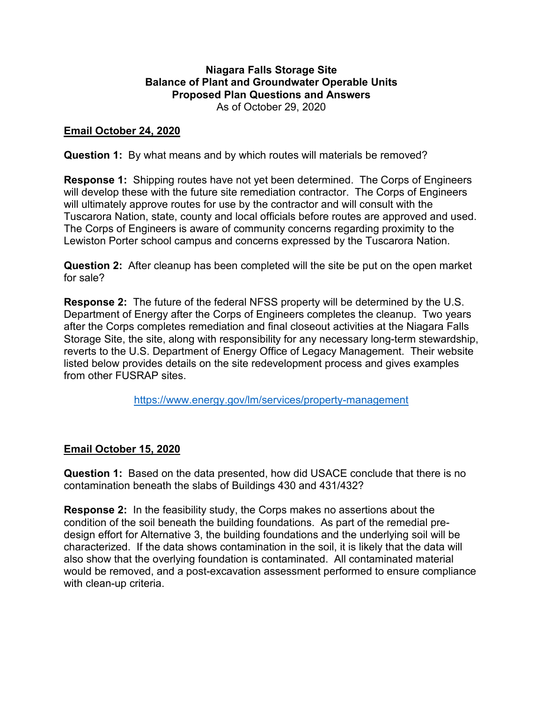#### **Niagara Falls Storage Site Balance of Plant and Groundwater Operable Units Proposed Plan Questions and Answers** As of October 29, 2020

### **Email October 24, 2020**

**Question 1:** By what means and by which routes will materials be removed?

**Response 1:** Shipping routes have not yet been determined. The Corps of Engineers will develop these with the future site remediation contractor. The Corps of Engineers will ultimately approve routes for use by the contractor and will consult with the Tuscarora Nation, state, county and local officials before routes are approved and used. The Corps of Engineers is aware of community concerns regarding proximity to the Lewiston Porter school campus and concerns expressed by the Tuscarora Nation.

**Question 2:** After cleanup has been completed will the site be put on the open market for sale?

**Response 2:** The future of the federal NFSS property will be determined by the U.S. Department of Energy after the Corps of Engineers completes the cleanup. Two years after the Corps completes remediation and final closeout activities at the Niagara Falls Storage Site, the site, along with responsibility for any necessary long-term stewardship, reverts to the U.S. Department of Energy Office of Legacy Management. Their website listed below provides details on the site redevelopment process and gives examples from other FUSRAP sites.

<https://www.energy.gov/lm/services/property-management>

# **Email October 15, 2020**

**Question 1:** Based on the data presented, how did USACE conclude that there is no contamination beneath the slabs of Buildings 430 and 431/432?

**Response 2:** In the feasibility study, the Corps makes no assertions about the condition of the soil beneath the building foundations. As part of the remedial predesign effort for Alternative 3, the building foundations and the underlying soil will be characterized. If the data shows contamination in the soil, it is likely that the data will also show that the overlying foundation is contaminated. All contaminated material would be removed, and a post-excavation assessment performed to ensure compliance with clean-up criteria.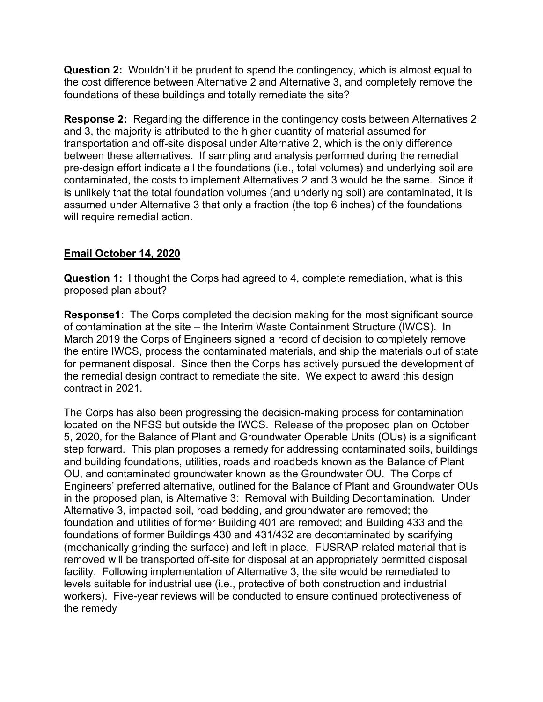**Question 2:** Wouldn't it be prudent to spend the contingency, which is almost equal to the cost difference between Alternative 2 and Alternative 3, and completely remove the foundations of these buildings and totally remediate the site?

**Response 2:** Regarding the difference in the contingency costs between Alternatives 2 and 3, the majority is attributed to the higher quantity of material assumed for transportation and off-site disposal under Alternative 2, which is the only difference between these alternatives. If sampling and analysis performed during the remedial pre-design effort indicate all the foundations (i.e., total volumes) and underlying soil are contaminated, the costs to implement Alternatives 2 and 3 would be the same. Since it is unlikely that the total foundation volumes (and underlying soil) are contaminated, it is assumed under Alternative 3 that only a fraction (the top 6 inches) of the foundations will require remedial action.

# **Email October 14, 2020**

**Question 1:** I thought the Corps had agreed to 4, complete remediation, what is this proposed plan about?

**Response1:** The Corps completed the decision making for the most significant source of contamination at the site – the Interim Waste Containment Structure (IWCS). In March 2019 the Corps of Engineers signed a record of decision to completely remove the entire IWCS, process the contaminated materials, and ship the materials out of state for permanent disposal. Since then the Corps has actively pursued the development of the remedial design contract to remediate the site. We expect to award this design contract in 2021.

The Corps has also been progressing the decision-making process for contamination located on the NFSS but outside the IWCS. Release of the proposed plan on October 5, 2020, for the Balance of Plant and Groundwater Operable Units (OUs) is a significant step forward. This plan proposes a remedy for addressing contaminated soils, buildings and building foundations, utilities, roads and roadbeds known as the Balance of Plant OU, and contaminated groundwater known as the Groundwater OU. The Corps of Engineers' preferred alternative, outlined for the Balance of Plant and Groundwater OUs in the proposed plan, is Alternative 3: Removal with Building Decontamination. Under Alternative 3, impacted soil, road bedding, and groundwater are removed; the foundation and utilities of former Building 401 are removed; and Building 433 and the foundations of former Buildings 430 and 431/432 are decontaminated by scarifying (mechanically grinding the surface) and left in place. FUSRAP-related material that is removed will be transported off-site for disposal at an appropriately permitted disposal facility.Following implementation of Alternative 3, the site would be remediated to levels suitable for industrial use (i.e., protective of both construction and industrial workers). Five-year reviews will be conducted to ensure continued protectiveness of the remedy